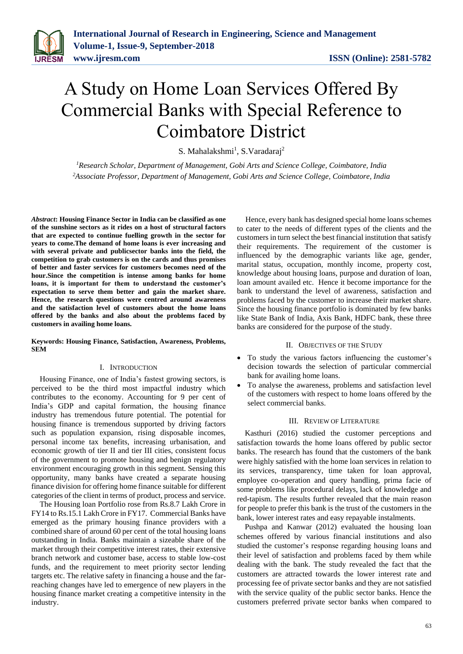

# A Study on Home Loan Services Offered By Commercial Banks with Special Reference to Coimbatore District

S. Mahalakshmi<sup>1</sup>, S. Varadaraj<sup>2</sup>

*<sup>1</sup>Research Scholar, Department of Management, Gobi Arts and Science College, Coimbatore, India <sup>2</sup>Associate Professor, Department of Management, Gobi Arts and Science College, Coimbatore, India*

*Abstract***: Housing Finance Sector in India can be classified as one of the sunshine sectors as it rides on a host of structural factors that are expected to continue fuelling growth in the sector for years to come.The demand of home loans is ever increasing and with several private and publicsector banks into the field, the competition to grab customers is on the cards and thus promises of better and faster services for customers becomes need of the hour.Since the competition is intense among banks for home loans, it is important for them to understand the customer's expectation to serve them better and gain the market share. Hence, the research questions were centred around awareness and the satisfaction level of customers about the home loans offered by the banks and also about the problems faced by customers in availing home loans.**

**Keywords: Housing Finance, Satisfaction, Awareness, Problems, SEM**

#### I. INTRODUCTION

Housing Finance, one of India's fastest growing sectors, is perceived to be the third most impactful industry which contributes to the economy. Accounting for 9 per cent of India's GDP and capital formation, the housing finance industry has tremendous future potential. The potential for housing finance is tremendous supported by driving factors such as population expansion, rising disposable incomes, personal income tax benefits, increasing urbanisation, and economic growth of tier II and tier III cities, consistent focus of the government to promote housing and benign regulatory environment encouraging growth in this segment. Sensing this opportunity, many banks have created a separate housing finance division for offering home finance suitable for different categories of the client in terms of product, process and service.

The Housing loan Portfolio rose from Rs.8.7 Lakh Crore in FY14 to Rs.15.1 Lakh Crore in FY17. Commercial Banks have emerged as the primary housing finance providers with a combined share of around 60 per cent of the total housing loans outstanding in India. Banks maintain a sizeable share of the market through their competitive interest rates, their extensive branch network and customer base, access to stable low-cost funds, and the requirement to meet priority sector lending targets etc. The relative safety in financing a house and the farreaching changes have led to emergence of new players in the housing finance market creating a competitive intensity in the industry.

Hence, every bank has designed special home loans schemes to cater to the needs of different types of the clients and the customers in turn select the best financial institution that satisfy their requirements. The requirement of the customer is influenced by the demographic variants like age, gender, marital status, occupation, monthly income, property cost, knowledge about housing loans, purpose and duration of loan, loan amount availed etc. Hence it become importance for the bank to understand the level of awareness, satisfaction and problems faced by the customer to increase their market share. Since the housing finance portfolio is dominated by few banks like State Bank of India, Axis Bank, HDFC bank, these three banks are considered for the purpose of the study.

#### II. OBJECTIVES OF THE STUDY

- To study the various factors influencing the customer's decision towards the selection of particular commercial bank for availing home loans.
- To analyse the awareness, problems and satisfaction level of the customers with respect to home loans offered by the select commercial banks.

## III. REVIEW OF LITERATURE

Kasthuri (2016) studied the customer perceptions and satisfaction towards the home loans offered by public sector banks. The research has found that the customers of the bank were highly satisfied with the home loan services in relation to its services, transparency, time taken for loan approval, employee co-operation and query handling, prima facie of some problems like procedural delays, lack of knowledge and red-tapism. The results further revealed that the main reason for people to prefer this bank is the trust of the customers in the bank, lower interest rates and easy repayable instalments.

Pushpa and Kanwar (2012) evaluated the housing loan schemes offered by various financial institutions and also studied the customer's response regarding housing loans and their level of satisfaction and problems faced by them while dealing with the bank. The study revealed the fact that the customers are attracted towards the lower interest rate and processing fee of private sector banks and they are not satisfied with the service quality of the public sector banks. Hence the customers preferred private sector banks when compared to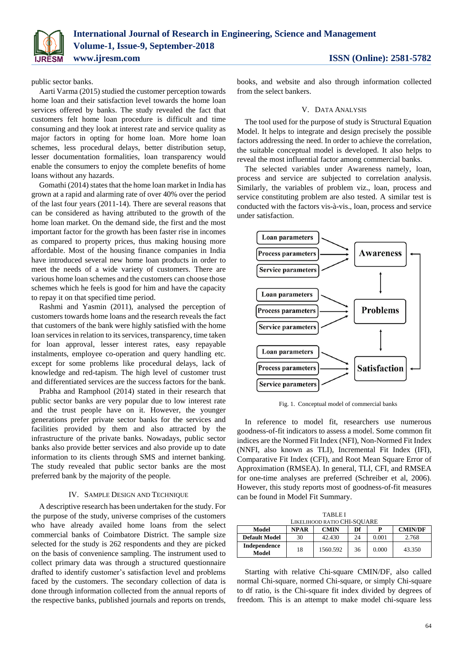

public sector banks.

Aarti Varma (2015) studied the customer perception towards home loan and their satisfaction level towards the home loan services offered by banks. The study revealed the fact that customers felt home loan procedure is difficult and time consuming and they look at interest rate and service quality as major factors in opting for home loan. More home loan schemes, less procedural delays, better distribution setup, lesser documentation formalities, loan transparency would enable the consumers to enjoy the complete benefits of home loans without any hazards.

Gomathi (2014) states that the home loan market in India has grown at a rapid and alarming rate of over 40% over the period of the last four years (2011-14). There are several reasons that can be considered as having attributed to the growth of the home loan market. On the demand side, the first and the most important factor for the growth has been faster rise in incomes as compared to property prices, thus making housing more affordable. Most of the housing finance companies in India have introduced several new home loan products in order to meet the needs of a wide variety of customers. There are various home loan schemes and the customers can choose those schemes which he feels is good for him and have the capacity to repay it on that specified time period.

Rashmi and Yasmin (2011), analysed the perception of customers towards home loans and the research reveals the fact that customers of the bank were highly satisfied with the home loan services in relation to its services, transparency, time taken for loan approval, lesser interest rates, easy repayable instalments, employee co-operation and query handling etc. except for some problems like procedural delays, lack of knowledge and red-tapism. The high level of customer trust and differentiated services are the success factors for the bank.

Prabha and Ramphool (2014) stated in their research that public sector banks are very popular due to low interest rate and the trust people have on it. However, the younger generations prefer private sector banks for the services and facilities provided by them and also attracted by the infrastructure of the private banks. Nowadays, public sector banks also provide better services and also provide up to date information to its clients through SMS and internet banking. The study revealed that public sector banks are the most preferred bank by the majority of the people.

### IV. SAMPLE DESIGN AND TECHNIQUE

A descriptive research has been undertaken for the study. For the purpose of the study, universe comprises of the customers who have already availed home loans from the select commercial banks of Coimbatore District. The sample size selected for the study is 262 respondents and they are picked on the basis of convenience sampling. The instrument used to collect primary data was through a structured questionnaire drafted to identify customer's satisfaction level and problems faced by the customers. The secondary collection of data is done through information collected from the annual reports of the respective banks, published journals and reports on trends,

books, and website and also through information collected from the select bankers.

# V. DATA ANALYSIS

The tool used for the purpose of study is Structural Equation Model. It helps to integrate and design precisely the possible factors addressing the need. In order to achieve the correlation, the suitable conceptual model is developed. It also helps to reveal the most influential factor among commercial banks.

The selected variables under Awareness namely, loan, process and service are subjected to correlation analysis. Similarly, the variables of problem viz., loan, process and service constituting problem are also tested. A similar test is conducted with the factors vis-à-vis., loan, process and service under satisfaction.



Fig. 1. Conceptual model of commercial banks

In reference to model fit, researchers use numerous goodness-of-fit indicators to assess a model. Some common fit indices are the Normed Fit Index (NFI), Non-Normed Fit Index (NNFI, also known as TLI), Incremental Fit Index (IFI), Comparative Fit Index (CFI), and Root Mean Square Error of Approximation (RMSEA). In general, TLI, CFI, and RMSEA for one-time analyses are preferred (Schreiber et al, 2006). However, this study reports most of goodness-of-fit measures can be found in Model Fit Summary.

TABLE I LIKELIHOOD RATIO CHI-SQUARE

| Model                 | <b>NPAR</b> | <b>CMIN</b> | Df | р     | <b>CMIN/DF</b> |
|-----------------------|-------------|-------------|----|-------|----------------|
| <b>Default Model</b>  | 30          | 42.430      | 24 | 0.001 | 2.768          |
| Independence<br>Model | 18          | 1560.592    | 36 | 0.000 | 43.350         |

Starting with relative Chi-square CMIN/DF, also called normal Chi-square, normed Chi-square, or simply Chi-square to df ratio, is the Chi-square fit index divided by degrees of freedom. This is an attempt to make model chi-square less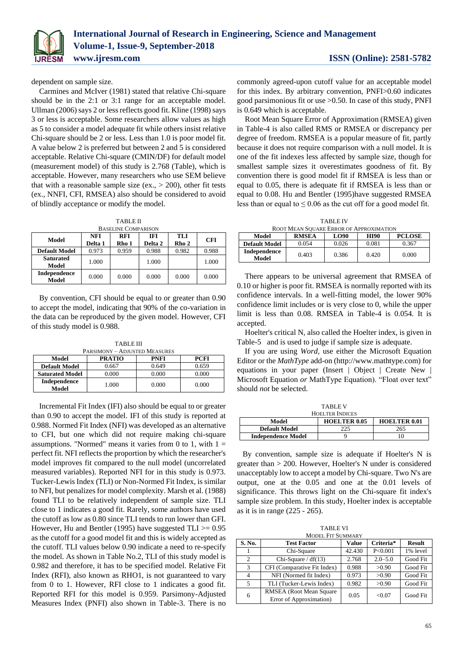

dependent on sample size.

Carmines and McIver (1981) stated that relative Chi-square should be in the 2:1 or 3:1 range for an acceptable model. Ullman (2006) says 2 or less reflects good fit. Kline (1998) says 3 or less is acceptable. Some researchers allow values as high as 5 to consider a model adequate fit while others insist relative Chi-square should be 2 or less. Less than 1.0 is poor model fit. A value below 2 is preferred but between 2 and 5 is considered acceptable. Relative Chi-square (CMIN/DF) for default model (measurement model) of this study is 2.768 (Table), which is acceptable. However, many researchers who use SEM believe that with a reasonable sample size (ex.,  $> 200$ ), other fit tests (ex., NNFI, CFI, RMSEA) also should be considered to avoid of blindly acceptance or modify the model.

| <b>TABLE II</b> |  |
|-----------------|--|
|                 |  |

| <b>BASELINE COMPARISON</b> |                |                     |                       |              |            |  |  |
|----------------------------|----------------|---------------------|-----------------------|--------------|------------|--|--|
| Model                      | NFI<br>Delta 1 | <b>RFI</b><br>Rho 1 | <b>IFI</b><br>Delta 2 | TLI<br>Rho 2 | <b>CFI</b> |  |  |
| <b>Default Model</b>       | 0.973          | 0.959               | 0.988                 | 0.982        | 0.988      |  |  |
| <b>Saturated</b><br>Model  | 1.000          |                     | 1.000                 |              | 1.000      |  |  |
| Independence<br>Model      | 0.000          | 0.000               | 0.000                 | 0.000        | 0.000      |  |  |

By convention, CFI should be equal to or greater than 0.90 to accept the model, indicating that 90% of the co-variation in the data can be reproduced by the given model. However, CFI of this study model is 0.988.

TABLE III

| <b>PARSIMONY - ADJUSTED MEASURES</b>          |       |       |       |  |  |  |
|-----------------------------------------------|-------|-------|-------|--|--|--|
| <b>PRATIO</b><br><b>PNFI</b><br>PCFI<br>Model |       |       |       |  |  |  |
| <b>Default Model</b>                          | 0.667 | 0.649 | 0.659 |  |  |  |
| <b>Saturated Model</b>                        | 0.000 | 0.000 | 0.000 |  |  |  |
| Independence<br>Model                         | 1.000 | 0.000 | 0.000 |  |  |  |

Incremental Fit Index (IFI) also should be equal to or greater than 0.90 to accept the model. IFI of this study is reported at 0.988. Normed Fit Index (NFI) was developed as an alternative to CFI, but one which did not require making chi-square assumptions. "Normed" means it varies from 0 to 1, with  $1 =$ perfect fit. NFI reflects the proportion by which the researcher's model improves fit compared to the null model (uncorrelated measured variables). Reported NFI for in this study is 0.973. Tucker-Lewis Index (TLI) or Non-Normed Fit Index, is similar to NFI, but penalizes for model complexity. Marsh et al. (1988) found TLI to be relatively independent of sample size. TLI close to 1 indicates a good fit. Rarely, some authors have used the cutoff as low as 0.80 since TLI tends to run lower than GFI. However, Hu and Bentler (1995) have suggested  $TLI \ge 0.95$ as the cutoff for a good model fit and this is widely accepted as the cutoff. TLI values below 0.90 indicate a need to re-specify the model. As shown in Table No.2, TLI of this study model is 0.982 and therefore, it has to be specified model. Relative Fit Index (RFI), also known as RHO1, is not guaranteed to vary from 0 to 1. However, RFI close to 1 indicates a good fit. Reported RFI for this model is 0.959. Parsimony-Adjusted Measures Index (PNFI) also shown in Table-3. There is no commonly agreed-upon cutoff value for an acceptable model for this index. By arbitrary convention, PNFI>0.60 indicates good parsimonious fit or use >0.50. In case of this study, PNFI is 0.649 which is acceptable.

Root Mean Square Error of Approximation (RMSEA) given in Table-4 is also called RMS or RMSEA or discrepancy per degree of freedom. RMSEA is a popular measure of fit, partly because it does not require comparison with a null model. It is one of the fit indexes less affected by sample size, though for smallest sample sizes it overestimates goodness of fit. By convention there is good model fit if RMSEA is less than or equal to 0.05, there is adequate fit if RMSEA is less than or equal to 0.08. Hu and Bentler (1995)have suggested RMSEA less than or equal to  $\leq 0.06$  as the cut off for a good model fit.

TABLE IV

| ROOT MEAN SOUARE ERROR OF APPROXIMATION                       |       |       |       |       |  |  |  |
|---------------------------------------------------------------|-------|-------|-------|-------|--|--|--|
| LO90<br><b>PCLOSE</b><br><b>RMSEA</b><br><b>HI90</b><br>Model |       |       |       |       |  |  |  |
| <b>Default Model</b>                                          | 0.054 | 0.026 | 0.081 | 0.367 |  |  |  |
| Independence<br>Model                                         | 0.403 | 0.386 | 0.420 | 0.000 |  |  |  |

There appears to be universal agreement that RMSEA of 0.10 or higher is poor fit. RMSEA is normally reported with its confidence intervals. In a well-fitting model, the lower 90% confidence limit includes or is very close to 0, while the upper limit is less than 0.08. RMSEA in Table-4 is 0.054. It is accepted.

Hoelter's critical N, also called the Hoelter index, is given in Table-5 and is used to judge if sample size is adequate.

If you are using *Word,* use either the Microsoft Equation Editor or the *MathType* add-on (http://www.mathtype.com) for equations in your paper (Insert | Object | Create New | Microsoft Equation *or* MathType Equation). "Float over text" should *not* be selected.

| <b>TABLE V</b>                                      |     |     |  |  |  |  |
|-----------------------------------------------------|-----|-----|--|--|--|--|
| <b>HOELTER INDICES</b>                              |     |     |  |  |  |  |
| <b>HOELTER 0.05</b><br><b>HOELTER 0.01</b><br>Model |     |     |  |  |  |  |
| <b>Default Model</b>                                | 225 | 265 |  |  |  |  |
| <b>Independence Model</b>                           |     |     |  |  |  |  |

By convention, sample size is adequate if Hoelter's N is greater than > 200. However, Hoelter's N under is considered unacceptably low to accept a model by Chi-square. Two N's are output, one at the 0.05 and one at the 0.01 levels of significance. This throws light on the Chi-square fit index's sample size problem. In this study, Hoelter index is acceptable as it is in range (225 - 265).

TABLE VI MODEL FIT SUMMARY

| S. No.         | <b>Test Factor</b>          | <b>Value</b> | Criteria*   | <b>Result</b> |
|----------------|-----------------------------|--------------|-------------|---------------|
|                | Chi-Square                  | 42.430       | P < 0.001   | 1% level      |
| $\mathfrak{D}$ | Chi-Square $/ df(13)$       | 2.768        | $2.0 - 5.0$ | Good Fit      |
| 3              | CFI (Comparative Fit Index) | 0.988        | >0.90       | Good Fit      |
|                | NFI (Normed fit Index)      | 0.973        | >0.90       | Good Fit      |
| 5              | TLI (Tucker-Lewis Index)    | 0.982        | >0.90       | Good Fit      |
| 6              | RMSEA (Root Mean Square)    | 0.05         | < 0.07      | Good Fit      |
|                | Error of Approximation)     |              |             |               |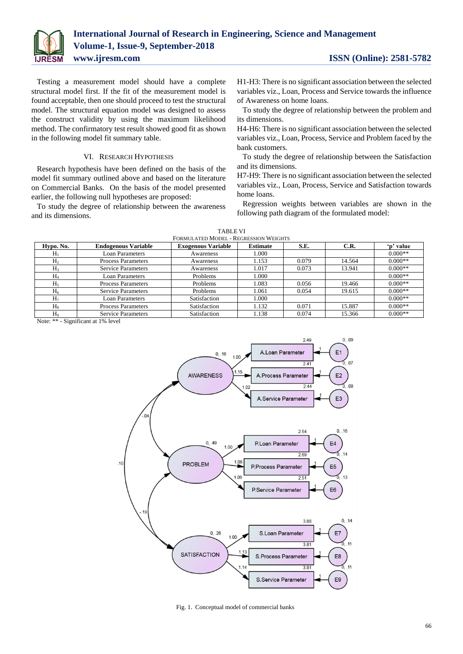

Testing a measurement model should have a complete structural model first. If the fit of the measurement model is found acceptable, then one should proceed to test the structural model. The structural equation model was designed to assess the construct validity by using the maximum likelihood method. The confirmatory test result showed good fit as shown in the following model fit summary table.

# VI. RESEARCH HYPOTHESIS

Research hypothesis have been defined on the basis of the model fit summary outlined above and based on the literature on Commercial Banks. On the basis of the model presented earlier, the following null hypotheses are proposed:

To study the degree of relationship between the awareness and its dimensions.

H1-H3: There is no significant association between the selected variables viz., Loan, Process and Service towards the influence of Awareness on home loans.

To study the degree of relationship between the problem and its dimensions.

H4-H6: There is no significant association between the selected variables viz., Loan, Process, Service and Problem faced by the bank customers.

To study the degree of relationship between the Satisfaction and its dimensions.

H7-H9: There is no significant association between the selected variables viz., Loan, Process, Service and Satisfaction towards home loans.

Regression weights between variables are shown in the following path diagram of the formulated model:

| FORMULATED MODEL - REGRESSION WEIGHTS |                            |                           |                 |       |        |           |  |
|---------------------------------------|----------------------------|---------------------------|-----------------|-------|--------|-----------|--|
| Hypo. No.                             | <b>Endogenous Variable</b> | <b>Exogenous Variable</b> | <b>Estimate</b> | S.E.  | C.R.   | 'n' value |  |
| $H_1$                                 | Loan Parameters            | Awareness                 | 1.000           |       |        | $0.000**$ |  |
| H <sub>2</sub>                        | <b>Process Parameters</b>  | Awareness                 | 1.153           | 0.079 | 14.564 | $0.000**$ |  |
| H <sub>3</sub>                        | <b>Service Parameters</b>  | Awareness                 | 1.017           | 0.073 | 13.941 | $0.000**$ |  |
| $H_4$                                 | Loan Parameters            | Problems                  | 1.000           |       |        | $0.000**$ |  |
| $H_5$                                 | <b>Process Parameters</b>  | Problems                  | 1.083           | 0.056 | 19.466 | $0.000**$ |  |
| $H_6$                                 | <b>Service Parameters</b>  | Problems                  | 1.061           | 0.054 | 19.615 | $0.000**$ |  |
| H <sub>7</sub>                        | Loan Parameters            | Satisfaction              | 1.000           |       |        | $0.000**$ |  |
| $H_8$                                 | <b>Process Parameters</b>  | Satisfaction              | 1.132           | 0.071 | 15.887 | $0.000**$ |  |
| H <sub>9</sub>                        | <b>Service Parameters</b>  | Satisfaction              | 1.138           | 0.074 | 15.366 | $0.000**$ |  |

TABLE VI

Note: \*\* - Significant at 1% level



Fig. 1. Conceptual model of commercial banks